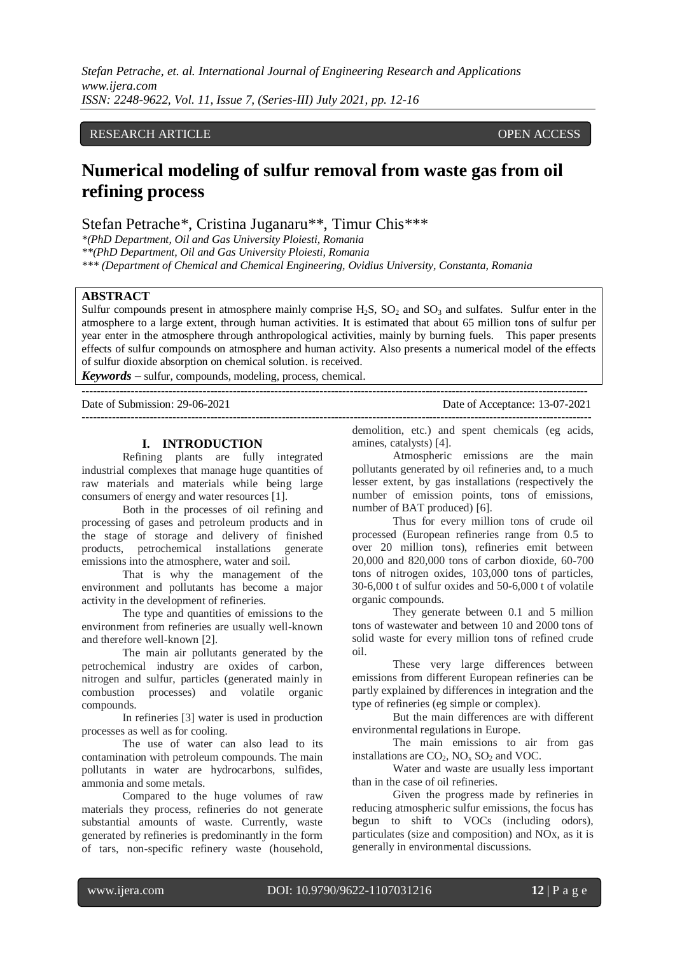*Stefan Petrache, et. al. International Journal of Engineering Research and Applications www.ijera.com ISSN: 2248-9622, Vol. 11, Issue 7, (Series-III) July 2021, pp. 12-16*

## RESEARCH ARTICLE **OPEN ACCESS**

# **Numerical modeling of sulfur removal from waste gas from oil refining process**

Stefan Petrache\*, Cristina Juganaru\*\*, Timur Chis\*\*\*

*\*(PhD Department, Oil and Gas University Ploiesti, Romania*

*\*\*(PhD Department, Oil and Gas University Ploiesti, Romania*

*\*\*\* (Department of Chemical and Chemical Engineering, Ovidius University, Constanta, Romania*

--------------------------------------------------------------------------------------------------------------------------------------

## **ABSTRACT**

Sulfur compounds present in atmosphere mainly comprise  $H_2S$ ,  $SO_2$  and  $SO_3$  and sulfates. Sulfur enter in the atmosphere to a large extent, through human activities. It is estimated that about 65 million tons of sulfur per year enter in the atmosphere through anthropological activities, mainly by burning fuels. This paper presents effects of sulfur compounds on atmosphere and human activity. Also presents a numerical model of the effects of sulfur dioxide absorption on chemical solution. is received.

*Keywords* **–** sulfur, compounds, modeling, process, chemical.

#### Date of Submission: 29-06-2021 Date of Acceptance: 13-07-2021

---------------------------------------------------------------------------------------------------------------------------------------

### **I. INTRODUCTION**

Refining plants are fully integrated industrial complexes that manage huge quantities of raw materials and materials while being large consumers of energy and water resources [1].

Both in the processes of oil refining and processing of gases and petroleum products and in the stage of storage and delivery of finished products, petrochemical installations generate emissions into the atmosphere, water and soil.

That is why the management of the environment and pollutants has become a major activity in the development of refineries.

The type and quantities of emissions to the environment from refineries are usually well-known and therefore well-known [2].

The main air pollutants generated by the petrochemical industry are oxides of carbon, nitrogen and sulfur, particles (generated mainly in combustion processes) and volatile organic compounds.

In refineries [3] water is used in production processes as well as for cooling.

The use of water can also lead to its contamination with petroleum compounds. The main pollutants in water are hydrocarbons, sulfides, ammonia and some metals.

Compared to the huge volumes of raw materials they process, refineries do not generate substantial amounts of waste. Currently, waste generated by refineries is predominantly in the form of tars, non-specific refinery waste (household,

demolition, etc.) and spent chemicals (eg acids, amines, catalysts) [4].

Atmospheric emissions are the main pollutants generated by oil refineries and, to a much lesser extent, by gas installations (respectively the number of emission points, tons of emissions, number of BAT produced) [6].

Thus for every million tons of crude oil processed (European refineries range from 0.5 to over 20 million tons), refineries emit between 20,000 and 820,000 tons of carbon dioxide, 60-700 tons of nitrogen oxides, 103,000 tons of particles, 30-6,000 t of sulfur oxides and 50-6,000 t of volatile organic compounds.

They generate between 0.1 and 5 million tons of wastewater and between 10 and 2000 tons of solid waste for every million tons of refined crude oil.

These very large differences between emissions from different European refineries can be partly explained by differences in integration and the type of refineries (eg simple or complex).

But the main differences are with different environmental regulations in Europe.

The main emissions to air from gas installations are  $CO_2$ ,  $NO_x$   $SO_2$  and VOC.

Water and waste are usually less important than in the case of oil refineries.

Given the progress made by refineries in reducing atmospheric sulfur emissions, the focus has begun to shift to VOCs (including odors), particulates (size and composition) and NOx, as it is generally in environmental discussions.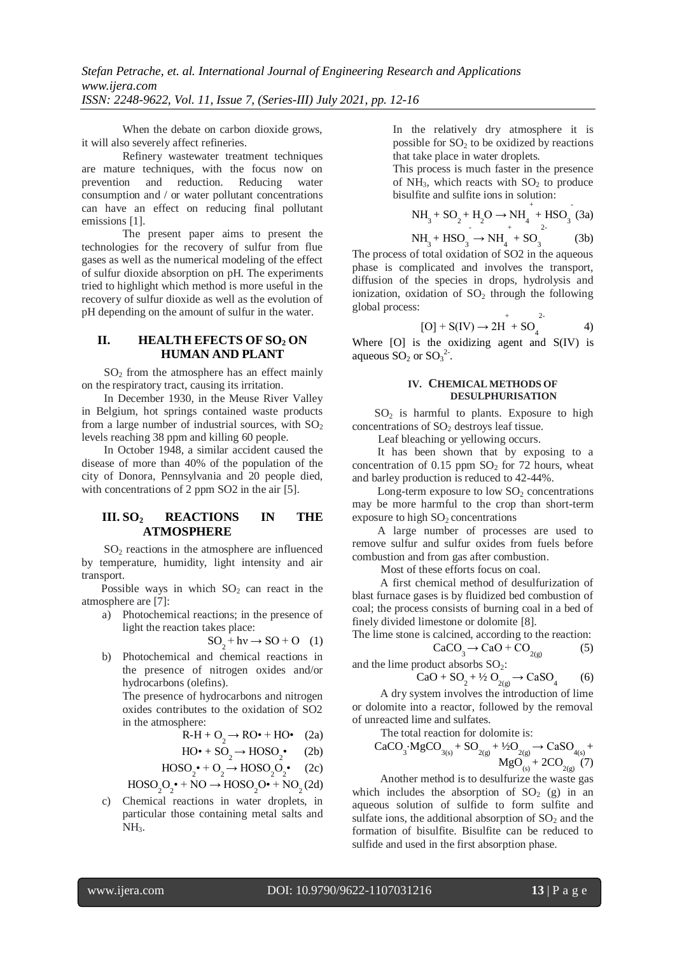When the debate on carbon dioxide grows, it will also severely affect refineries.

Refinery wastewater treatment techniques are mature techniques, with the focus now on prevention and reduction. Reducing water consumption and / or water pollutant concentrations can have an effect on reducing final pollutant emissions [1].

The present paper aims to present the technologies for the recovery of sulfur from flue gases as well as the numerical modeling of the effect of sulfur dioxide absorption on pH. The experiments tried to highlight which method is more useful in the recovery of sulfur dioxide as well as the evolution of pH depending on the amount of sulfur in the water.

## **II. HEALTH EFECTS OF SO<sup>2</sup> ON HUMAN AND PLANT**

 $SO<sub>2</sub>$  from the atmosphere has an effect mainly on the respiratory tract, causing its irritation.

 In December 1930, in the Meuse River Valley in Belgium, hot springs contained waste products from a large number of industrial sources, with  $SO<sub>2</sub>$ levels reaching 38 ppm and killing 60 people.

 In October 1948, a similar accident caused the disease of more than 40% of the population of the city of Donora, Pennsylvania and 20 people died, with concentrations of 2 ppm SO2 in the air [5].

## **III. SO<sup>2</sup> REACTIONS IN THE ATMOSPHERE**

 SO<sup>2</sup> reactions in the atmosphere are influenced by temperature, humidity, light intensity and air transport.

Possible ways in which  $SO_2$  can react in the atmosphere are [7]:

a) Photochemical reactions; in the presence of light the reaction takes place:

$$
SO_2 + hv \to SO + O \quad (1)
$$

b) Photochemical and chemical reactions in the presence of nitrogen oxides and/or hydrocarbons (olefins).

The presence of hydrocarbons and nitrogen oxides contributes to the oxidation of SO2 in the atmosphere:

$$
R-H + O_2 \rightarrow RO\bullet + HO\bullet (2a)
$$

$$
HO^{\bullet} + SO_2 \rightarrow HOSO_2^{\bullet} \qquad (2b)
$$

$$
HOSO_2^{\bullet} + O_2 \rightarrow HOSO_2O_2^{\bullet} \quad (2c)
$$

$$
\text{HOSO}_2\text{O}_2^{\bullet} + \text{NO} \rightarrow \text{HOSO}_2\text{O}^{\bullet} + \text{NO}_2(2d)
$$

c) Chemical reactions in water droplets, in particular those containing metal salts and  $NH<sub>3</sub>$ .

In the relatively dry atmosphere it is possible for  $SO<sub>2</sub>$  to be oxidized by reactions that take place in water droplets.

This process is much faster in the presence of  $NH_3$ , which reacts with  $SO_2$  to produce bisulfite and sulfite ions in solution:

$$
NH3 + SO2 + H2O \rightarrow NH4+ + HSO3 (3a)
$$
  
MU + USO

$$
NH3 + HSO3 \rightarrow NH4 + SO3
$$
 (3b)  
of total evidence of SO2 in the groups

The process of total oxidation of SO2 in the aqueous phase is complicated and involves the transport, diffusion of the species in drops, hydrolysis and ionization, oxidation of  $SO<sub>2</sub>$  through the following global process:

[O] + S(IV) 
$$
\rightarrow
$$
 2H<sup>+</sup> + SO<sub>4</sub><sup>2-</sup> 4)

Where [O] is the oxidizing agent and S(IV) is aqueous  $SO_2$  or  $SO_3^2$ .

#### **IV. CHEMICAL METHODS OF DESULPHURISATION**

 $SO<sub>2</sub>$  is harmful to plants. Exposure to high concentrations of  $SO<sub>2</sub>$  destroys leaf tissue.

Leaf bleaching or yellowing occurs.

 It has been shown that by exposing to a concentration of  $0.15$  ppm  $SO<sub>2</sub>$  for 72 hours, wheat and barley production is reduced to 42-44%.

Long-term exposure to low  $SO<sub>2</sub>$  concentrations may be more harmful to the crop than short-term exposure to high  $SO<sub>2</sub>$  concentrations

 A large number of processes are used to remove sulfur and sulfur oxides from fuels before combustion and from gas after combustion.

Most of these efforts focus on coal.

 A first chemical method of desulfurization of blast furnace gases is by fluidized bed combustion of coal; the process consists of burning coal in a bed of finely divided limestone or dolomite [8].

The lime stone is calcined, according to the reaction:  

$$
CaCO \rightarrow CaO + CO \tag{5}
$$

$$
CaCO_3 \rightarrow CaO + CO_{2(g)}
$$
 and the lime product absorbs SO<sub>2</sub>:

$$
CaO + SO2 + \frac{1}{2}O_{2(g)} \to CaSO4
$$
 (6)

 A dry system involves the introduction of lime or dolomite into a reactor, followed by the removal of unreacted lime and sulfates.

The total reaction for dolomite is:  
\n
$$
CaCO_{3} \cdot MgCO_{3(s)} + SO_{2(g)} + \frac{1}{2}O_{2(g)} \rightarrow CaSO_{4(s)} +
$$
\n
$$
MgO_{(s)} + 2CO_{2(g)}(7)
$$

 Another method is to desulfurize the waste gas which includes the absorption of  $SO<sub>2</sub>$  (g) in an aqueous solution of sulfide to form sulfite and sulfate ions, the additional absorption of  $SO<sub>2</sub>$  and the formation of bisulfite. Bisulfite can be reduced to sulfide and used in the first absorption phase.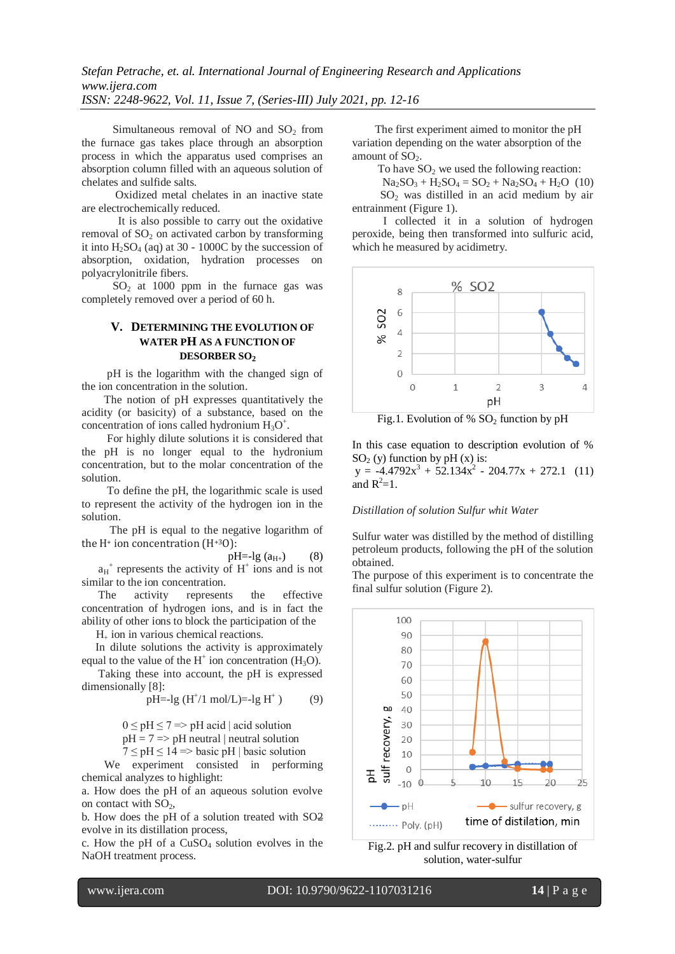Simultaneous removal of NO and  $SO<sub>2</sub>$  from the furnace gas takes place through an absorption process in which the apparatus used comprises an absorption column filled with an aqueous solution of chelates and sulfide salts.

 Oxidized metal chelates in an inactive state are electrochemically reduced.

 It is also possible to carry out the oxidative removal of  $SO<sub>2</sub>$  on activated carbon by transforming it into  $H_2SO_4$  (aq) at 30 - 1000C by the succession of absorption, oxidation, hydration processes on polyacrylonitrile fibers.

 $SO<sub>2</sub>$  at 1000 ppm in the furnace gas was completely removed over a period of 60 h.

## **V. DETERMINING THE EVOLUTION OF WATER PH AS A FUNCTION OF DESORBER SO<sup>2</sup>**

 pH is the logarithm with the changed sign of the ion concentration in the solution.

 The notion of pH expresses quantitatively the acidity (or basicity) of a substance, based on the concentration of ions called hydronium  $H_3O^+$ .

 For highly dilute solutions it is considered that the pH is no longer equal to the hydronium concentration, but to the molar concentration of the solution.

 To define the pH, the logarithmic scale is used to represent the activity of the hydrogen ion in the solution.

The pH is equal to the negative logarithm of the  $H^+$  ion concentration  $(H^{+3}O)$ :

 $pH = -lg (a_{H+})$  (8)  $a_H^+$  represents the activity of  $H^+$  ions and is not similar to the ion concentration.

 The activity represents the effective concentration of hydrogen ions, and is in fact the ability of other ions to block the participation of the

 $H<sub>+</sub>$  ion in various chemical reactions.

 In dilute solutions the activity is approximately equal to the value of the  $H^+$  ion concentration ( $H_3O$ ).

 Taking these into account, the pH is expressed dimensionally [8]:

$$
pH = -lg (H^+/1 mol/L) = -lg H^+)
$$
 (9)

 $0 \leq pH \leq 7 \Rightarrow pH \text{ acid} \mid acid \text{ solution}$  $pH = 7 \implies pH$  neutral | neutral solution

$$
7 \leq pH \leq 14 \Rightarrow basic pH | basic solution
$$

 We experiment consisted in performing chemical analyzes to highlight:

a. How does the pH of an aqueous solution evolve on contact with  $SO<sub>2</sub>$ ,

b. How does the pH of a solution treated with SO2 evolve in its distillation process,

c. How the pH of a  $CuSO<sub>4</sub>$  solution evolves in the NaOH treatment process.

 The first experiment aimed to monitor the pH variation depending on the water absorption of the amount of  $SO<sub>2</sub>$ .

To have  $SO<sub>2</sub>$  we used the following reaction:

 $Na_2SO_3 + H_2SO_4 = SO_2 + Na_2SO_4 + H_2O$  (10)  $SO<sub>2</sub>$  was distilled in an acid medium by air entrainment (Figure 1).

 I collected it in a solution of hydrogen peroxide, being then transformed into sulfuric acid, which he measured by acidimetry.



Fig.1. Evolution of %  $SO<sub>2</sub>$  function by pH

In this case equation to description evolution of %  $SO<sub>2</sub>$  (y) function by pH (x) is:  $y = -4.4792x^{3} + 52.134x^{2} - 204.77x + 272.1$  (11) and  $R^2=1$ .

*Distillation of solution Sulfur whit Water* 

Sulfur water was distilled by the method of distilling petroleum products, following the pH of the solution obtained.

The purpose of this experiment is to concentrate the final sulfur solution (Figure 2).



Fig.2. pH and sulfur recovery in distillation of solution, water-sulfur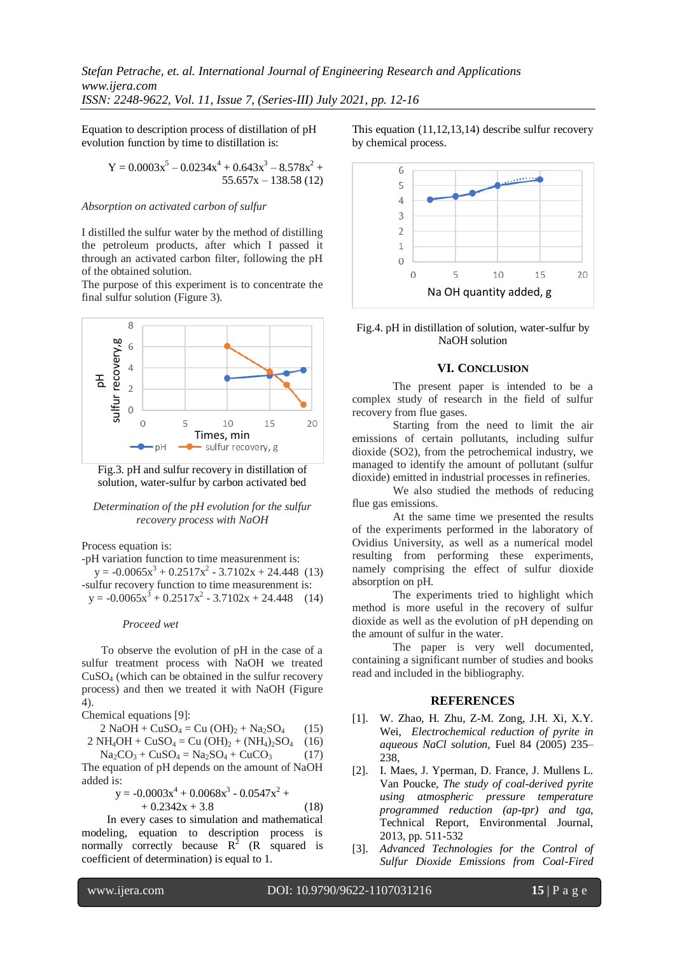*Stefan Petrache, et. al. International Journal of Engineering Research and Applications www.ijera.com ISSN: 2248-9622, Vol. 11, Issue 7, (Series-III) July 2021, pp. 12-16*

Equation to description process of distillation of pH evolution function by time to distillation is:

$$
Y = 0.0003x5 - 0.0234x4 + 0.643x3 - 8.578x2 + 55.657x - 138.58(12)
$$

#### *Absorption on activated carbon of sulfur*

I distilled the sulfur water by the method of distilling the petroleum products, after which I passed it through an activated carbon filter, following the pH of the obtained solution.

The purpose of this experiment is to concentrate the final sulfur solution (Figure 3).



Fig.3. pH and sulfur recovery in distillation of solution, water-sulfur by carbon activated bed

#### *Determination of the pH evolution for the sulfur recovery process with NaOH*

Process equation is:

-pH variation function to time measurenment is:  $y = -0.0065x^{3} + 0.2517x^{2} - 3.7102x + 24.448$  (13) -sulfur recovery function to time measurenment is:  $y = -0.0065x^{3} + 0.2517x^{2} - 3.7102x + 24.448$  (14)

#### *Proceed wet*

 To observe the evolution of pH in the case of a sulfur treatment process with NaOH we treated CuSO<sup>4</sup> (which can be obtained in the sulfur recovery process) and then we treated it with NaOH (Figure 4).

Chemical equations [9]:

$$
2 NaOH + CuSO4 = Cu (OH)2 + Na2SO4 (15)
$$

$$
2 NH4OH + CuSO4 = Cu (OH)2 + (NH4)2SO4 (16)
$$

 $Na_2CO_3 + CuSO_4 = Na_2SO_4 + CuCO_3$  (17) The equation of pH depends on the amount of NaOH added is:

$$
y = -0.0003x^{4} + 0.0068x^{3} - 0.0547x^{2} ++ 0.2342x + 3.8
$$
 (18)

 In every cases to simulation and mathematical modeling, equation to description process is normally correctly because  $R^2$  (R squared is coefficient of determination) is equal to 1.

This equation (11,12,13,14) describe sulfur recovery by chemical process.



Fig.4. pH in distillation of solution, water-sulfur by NaOH solution

## **VI. CONCLUSION**

The present paper is intended to be a complex study of research in the field of sulfur recovery from flue gases.

Starting from the need to limit the air emissions of certain pollutants, including sulfur dioxide (SO2), from the petrochemical industry, we managed to identify the amount of pollutant (sulfur dioxide) emitted in industrial processes in refineries.

We also studied the methods of reducing flue gas emissions.

At the same time we presented the results of the experiments performed in the laboratory of Ovidius University, as well as a numerical model resulting from performing these experiments, namely comprising the effect of sulfur dioxide absorption on pH.

The experiments tried to highlight which method is more useful in the recovery of sulfur dioxide as well as the evolution of pH depending on the amount of sulfur in the water.

 The paper is very well documented, containing a significant number of studies and books read and included in the bibliography.

## **REFERENCES**

- [1]. W. Zhao, H. Zhu, Z-M. Zong, J.H. Xi, X.Y. Wei, *Electrochemical reduction of pyrite in aqueous NaCl solution,* Fuel 84 (2005) 235– 238,
- [2]. I. Maes, J. Yperman, D. France, J. Mullens L. Van Poucke, *The study of coal-derived pyrite using atmospheric pressure temperature programmed reduction (ap-tpr) and tga,*  Technical Report, Environmental Journal, 2013, pp. 511-532
- [3]. *Advanced Technologies for the Control of Sulfur Dioxide Emissions from Coal-Fired*